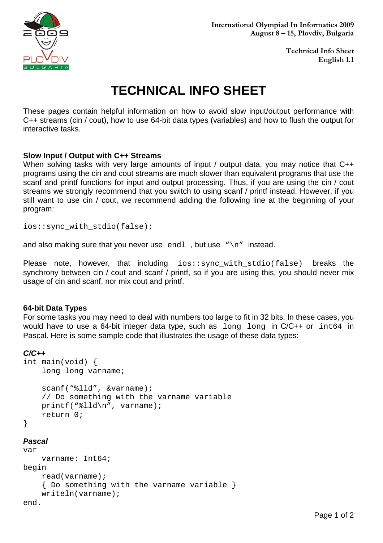

# **TECHNICAL INFO SHEET**

These pages contain helpful information on how to avoid slow input/output performance with C++ streams (cin / cout), how to use 64-bit data types (variables) and how to flush the output for interactive tasks.

### **Slow Input / Output with C++ Streams**

When solving tasks with very large amounts of input / output data, you may notice that C++ programs using the cin and cout streams are much slower than equivalent programs that use the scanf and printf functions for input and output processing. Thus, if you are using the cin / cout streams we strongly recommend that you switch to using scanf / printf instead. However, if you still want to use cin / cout, we recommend adding the following line at the beginning of your program:

ios::sync\_with\_stdio(false);

and also making sure that you never use endl, but use " $\n\times$ " instead.

Please note, however, that including ios::sync\_with\_stdio(false) breaks the synchrony between cin / cout and scanf / printf, so if you are using this, you should never mix usage of cin and scanf, nor mix cout and printf.

#### **64-bit Data Types**

For some tasks you may need to deal with numbers too large to fit in 32 bits. In these cases, you would have to use a 64-bit integer data type, such as long long in C/C++ or int64 in Pascal. Here is some sample code that illustrates the usage of these data types:

#### **C/C++**

```
int main(void) { 
     long long varname; 
     scanf("%lld", &varname); 
     // Do something with the varname variable 
     printf("%lld\n", varname); 
     return 0; 
} 
Pascal 
var
```

```
 varname: Int64; 
begin 
     read(varname); 
     { Do something with the varname variable } 
     writeln(varname); 
end.
```